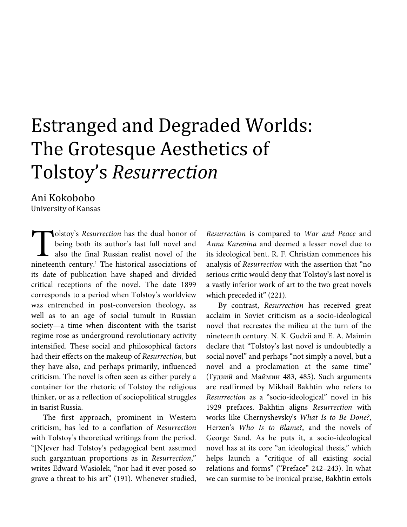# Estranged and Degraded Worlds: The Grotesque Aesthetics of Tolstoy's *Resurrection*

## Ani Kokobobo

University of Kansas

olstoy's *Resurrection* has the dual honor of being both its author's last full novel and also the final Russian realist novel of the **n**olstoy's *Resurrection* has the dual honor of being both its author's last full novel and also the final Russian realist novel of the nineteenth century.<sup>1</sup> The historical associations of its date of publication have shaped and divided critical receptions of the novel. The date 1899 corresponds to a period when Tolstoy's worldview was entrenched in post-conversion theology, as well as to an age of social tumult in Russian society—a time when discontent with the tsarist regime rose as underground revolutionary activity intensified. These social and philosophical factors had their effects on the makeup of *Resurrection*, but they have also, and perhaps primarily, influenced criticism. The novel is often seen as either purely a container for the rhetoric of Tolstoy the religious thinker, or as a reflection of sociopolitical struggles in tsarist Russia.

The first approach, prominent in Western criticism, has led to a conflation of *Resurrection* with Tolstoy's theoretical writings from the period. "[N]ever had Tolstoy's pedagogical bent assumed such gargantuan proportions as in *Resurrection*," writes Edward Wasiolek, "nor had it ever posed so grave a threat to his art" (191). Whenever studied, *Resurrection* is compared to *War and Peace* and *Anna Karenina* and deemed a lesser novel due to its ideological bent. R. F. Christian commences his analysis of *Resurrection* with the assertion that "no serious critic would deny that Tolstoy's last novel is a vastly inferior work of art to the two great novels which preceded it" (221).

By contrast, *Resurrection* has received great acclaim in Soviet criticism as a socio-ideological novel that recreates the milieu at the turn of the nineteenth century. N. K. Gudzii and E. A. Maimin declare that "Tolstoy's last novel is undoubtedly a social novel" and perhaps "not simply a novel, but a novel and a proclamation at the same time" (Гудзий and Маймин 483, 485). Such arguments are reaffirmed by Mikhail Bakhtin who refers to *Resurrection* as a "socio-ideological" novel in his 1929 prefaces. Bakhtin aligns *Resurrection* with works like Chernyshevsky's *What Is to Be Done?*, Herzen's *Who Is to Blame?*, and the novels of George Sand. As he puts it, a socio-ideological novel has at its core "an ideological thesis," which helps launch a "critique of all existing social relations and forms" ("Preface" 242–243). In what we can surmise to be ironical praise, Bakhtin extols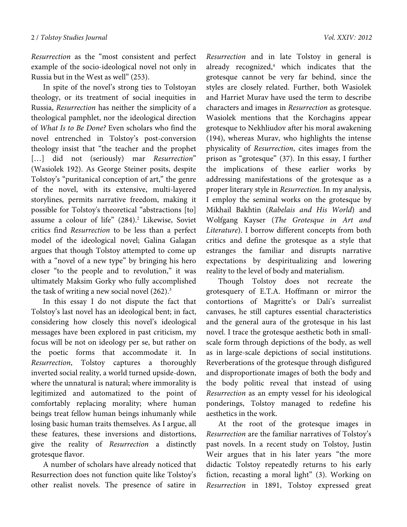*Resurrection* as the "most consistent and perfect example of the socio-ideological novel not only in Russia but in the West as well" (253).

In spite of the novel's strong ties to Tolstoyan theology, or its treatment of social inequities in Russia, *Resurrection* has neither the simplicity of a theological pamphlet, nor the ideological direction of *What Is to Be Done?* Even scholars who find the novel entrenched in Tolstoy's post-conversion theology insist that "the teacher and the prophet […] did not (seriously) mar *Resurrection*" (Wasiolek 192). As George Steiner posits, despite Tolstoy's "puritanical conception of art," the genre of the novel, with its extensive, multi-layered storylines, permits narrative freedom, making it possible for Tolstoy's theoretical "abstractions [to] assume a colour of life" (284).<sup>2</sup> Likewise, Soviet critics find *Resurrection* to be less than a perfect model of the ideological novel; Galina Galagan argues that though Tolstoy attempted to come up with a "novel of a new type" by bringing his hero closer "to the people and to revolution," it was ultimately Maksim Gorky who fully accomplished the task of writing a new social novel  $(262)^3$ 

In this essay I do not dispute the fact that Tolstoy's last novel has an ideological bent; in fact, considering how closely this novel's ideological messages have been explored in past criticism, my focus will be not on ideology per se, but rather on the poetic forms that accommodate it. In *Resurrection*, Tolstoy captures a thoroughly inverted social reality, a world turned upside-down, where the unnatural is natural; where immorality is legitimized and automatized to the point of comfortably replacing morality; where human beings treat fellow human beings inhumanly while losing basic human traits themselves. As I argue, all these features, these inversions and distortions, give the reality of *Resurrection* a distinctly grotesque flavor.

A number of scholars have already noticed that Resurrection does not function quite like Tolstoy's other realist novels. The presence of satire in

*Resurrection* and in late Tolstoy in general is already recognized,<sup>4</sup> which indicates that the grotesque cannot be very far behind, since the styles are closely related. Further, both Wasiolek and Harriet Murav have used the term to describe characters and images in *Resurrection* as grotesque. Wasiolek mentions that the Korchagins appear grotesque to Nekhliudov after his moral awakening (194), whereas Murav, who highlights the intense physicality of *Resurrection*, cites images from the prison as "grotesque" (37). In this essay, I further the implications of these earlier works by addressing manifestations of the grotesque as a proper literary style in *Resurrection*. In my analysis, I employ the seminal works on the grotesque by Mikhail Bakhtin (*Rabelais and His World*) and Wolfgang Kayser (*The Grotesque in Art and Literature*). I borrow different concepts from both critics and define the grotesque as a style that estranges the familiar and disrupts narrative expectations by despiritualizing and lowering reality to the level of body and materialism.

Though Tolstoy does not recreate the grotesquery of E.T.A. Hoffmann or mirror the contortions of Magritte's or Dali's surrealist canvases, he still captures essential characteristics and the general aura of the grotesque in his last novel. I trace the grotesque aesthetic both in smallscale form through depictions of the body, as well as in large-scale depictions of social institutions. Reverberations of the grotesque through disfigured and disproportionate images of both the body and the body politic reveal that instead of using *Resurrection* as an empty vessel for his ideological ponderings, Tolstoy managed to redefine his aesthetics in the work.

At the root of the grotesque images in *Resurrection* are the familiar narratives of Tolstoy's past novels. In a recent study on Tolstoy, Justin Weir argues that in his later years "the more didactic Tolstoy repeatedly returns to his early fiction, recasting a moral light" (3). Working on *Resurrection* in 1891, Tolstoy expressed great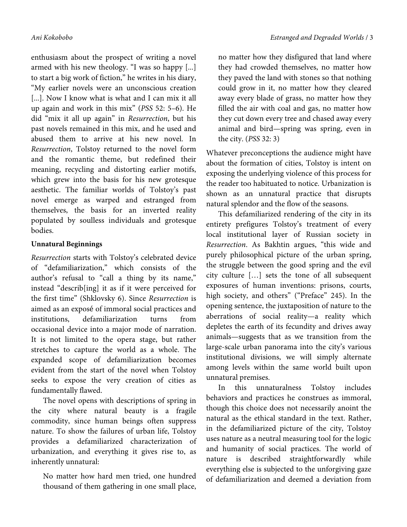enthusiasm about the prospect of writing a novel armed with his new theology. "I was so happy [...] to start a big work of fiction," he writes in his diary, "My earlier novels were an unconscious creation [...]. Now I know what is what and I can mix it all up again and work in this mix" (*PSS* 52: 5–6). He did "mix it all up again" in *Resurrection*, but his past novels remained in this mix, and he used and abused them to arrive at his new novel. In *Resurrection*, Tolstoy returned to the novel form and the romantic theme, but redefined their meaning, recycling and distorting earlier motifs, which grew into the basis for his new grotesque aesthetic. The familiar worlds of Tolstoy's past novel emerge as warped and estranged from themselves, the basis for an inverted reality populated by soulless individuals and grotesque bodies.

### **Unnatural Beginnings**

*Resurrection* starts with Tolstoy's celebrated device of "defamiliarization," which consists of the author's refusal to "call a thing by its name," instead "describ[ing] it as if it were perceived for the first time" (Shklovsky 6). Since *Resurrection* is aimed as an exposé of immoral social practices and institutions, defamiliarization turns from occasional device into a major mode of narration. It is not limited to the opera stage, but rather stretches to capture the world as a whole. The expanded scope of defamiliarization becomes evident from the start of the novel when Tolstoy seeks to expose the very creation of cities as fundamentally flawed.

The novel opens with descriptions of spring in the city where natural beauty is a fragile commodity, since human beings often suppress nature. To show the failures of urban life, Tolstoy provides a defamiliarized characterization of urbanization, and everything it gives rise to, as inherently unnatural:

No matter how hard men tried, one hundred thousand of them gathering in one small place,

no matter how they disfigured that land where they had crowded themselves, no matter how they paved the land with stones so that nothing could grow in it, no matter how they cleared away every blade of grass, no matter how they filled the air with coal and gas, no matter how they cut down every tree and chased away every animal and bird—spring was spring, even in the city. (*PSS* 32: 3)

Whatever preconceptions the audience might have about the formation of cities, Tolstoy is intent on exposing the underlying violence of this process for the reader too habituated to notice. Urbanization is shown as an unnatural practice that disrupts natural splendor and the flow of the seasons.

This defamiliarized rendering of the city in its entirety prefigures Tolstoy's treatment of every local institutional layer of Russian society in *Resurrection*. As Bakhtin argues, "this wide and purely philosophical picture of the urban spring, the struggle between the good spring and the evil city culture […] sets the tone of all subsequent exposures of human inventions: prisons, courts, high society, and others" ("Preface" 245). In the opening sentence, the juxtaposition of nature to the aberrations of social reality—a reality which depletes the earth of its fecundity and drives away animals—suggests that as we transition from the large-scale urban panorama into the city's various institutional divisions, we will simply alternate among levels within the same world built upon unnatural premises.

In this unnaturalness Tolstoy includes behaviors and practices he construes as immoral, though this choice does not necessarily anoint the natural as the ethical standard in the text. Rather, in the defamiliarized picture of the city, Tolstoy uses nature as a neutral measuring tool for the logic and humanity of social practices. The world of nature is described straightforwardly while everything else is subjected to the unforgiving gaze of defamiliarization and deemed a deviation from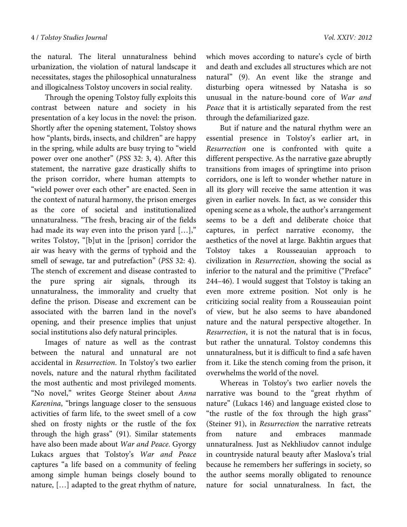the natural. The literal unnaturalness behind urbanization, the violation of natural landscape it necessitates, stages the philosophical unnaturalness and illogicalness Tolstoy uncovers in social reality.

 Through the opening Tolstoy fully exploits this contrast between nature and society in his presentation of a key locus in the novel: the prison. Shortly after the opening statement, Tolstoy shows how "plants, birds, insects, and children" are happy in the spring, while adults are busy trying to "wield power over one another" (*PSS* 32: 3, 4). After this statement, the narrative gaze drastically shifts to the prison corridor, where human attempts to "wield power over each other" are enacted. Seen in the context of natural harmony, the prison emerges as the core of societal and institutionalized unnaturalness. "The fresh, bracing air of the fields had made its way even into the prison yard […]," writes Tolstoy, "[b]ut in the [prison] corridor the air was heavy with the germs of typhoid and the smell of sewage, tar and putrefaction" (*PSS* 32: 4). The stench of excrement and disease contrasted to the pure spring air signals, through its unnaturalness, the immorality and cruelty that define the prison. Disease and excrement can be associated with the barren land in the novel's opening, and their presence implies that unjust social institutions also defy natural principles.

 Images of nature as well as the contrast between the natural and unnatural are not accidental in *Resurrection*. In Tolstoy's two earlier novels, nature and the natural rhythm facilitated the most authentic and most privileged moments. "No novel," writes George Steiner about *Anna Karenina*, "brings language closer to the sensuous activities of farm life, to the sweet smell of a cow shed on frosty nights or the rustle of the fox through the high grass" (91). Similar statements have also been made about *War and Peace*. Gyorgy Lukacs argues that Tolstoy's *War and Peace* captures "a life based on a community of feeling among simple human beings closely bound to nature, […] adapted to the great rhythm of nature, which moves according to nature's cycle of birth and death and excludes all structures which are not natural" (9). An event like the strange and disturbing opera witnessed by Natasha is so unusual in the nature-bound core of *War and Peace* that it is artistically separated from the rest through the defamiliarized gaze.

 But if nature and the natural rhythm were an essential presence in Tolstoy's earlier art, in *Resurrection* one is confronted with quite a different perspective. As the narrative gaze abruptly transitions from images of springtime into prison corridors, one is left to wonder whether nature in all its glory will receive the same attention it was given in earlier novels. In fact, as we consider this opening scene as a whole, the author's arrangement seems to be a deft and deliberate choice that captures, in perfect narrative economy, the aesthetics of the novel at large. Bakhtin argues that Tolstoy takes a Rousseauian approach to civilization in *Resurrection*, showing the social as inferior to the natural and the primitive ("Preface" 244–46). I would suggest that Tolstoy is taking an even more extreme position. Not only is he criticizing social reality from a Rousseauian point of view, but he also seems to have abandoned nature and the natural perspective altogether. In *Resurrection*, it is not the natural that is in focus, but rather the unnatural. Tolstoy condemns this unnaturalness, but it is difficult to find a safe haven from it. Like the stench coming from the prison, it overwhelms the world of the novel.

 Whereas in Tolstoy's two earlier novels the narrative was bound to the "great rhythm of nature" (Lukacs 146) and language existed close to "the rustle of the fox through the high grass" (Steiner 91), in *Resurrection* the narrative retreats from nature and embraces manmade unnaturalness. Just as Nekhliudov cannot indulge in countryside natural beauty after Maslova's trial because he remembers her sufferings in society, so the author seems morally obligated to renounce nature for social unnaturalness. In fact, the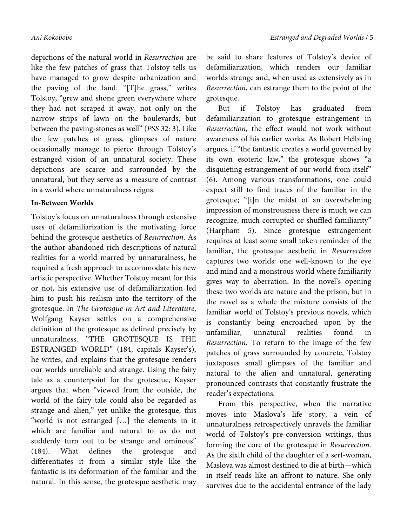depictions of the natural world in *Resurrection* are like the few patches of grass that Tolstoy tells us have managed to grow despite urbanization and the paving of the land. "[T]he grass," writes Tolstoy, "grew and shone green everywhere where they had not scraped it away, not only on the narrow strips of lawn on the boulevards, but between the paving-stones as well" (*PSS* 32: 3). Like the few patches of grass, glimpses of nature occasionally manage to pierce through Tolstoy's estranged vision of an unnatural society. These depictions are scarce and surrounded by the unnatural, but they serve as a measure of contrast in a world where unnaturalness reigns.

#### **In-Between Worlds**

Tolstoy's focus on unnaturalness through extensive uses of defamiliarization is the motivating force behind the grotesque aesthetics of *Resurrection*. As the author abandoned rich descriptions of natural realities for a world marred by unnaturalness, he required a fresh approach to accommodate his new artistic perspective. Whether Tolstoy meant for this or not, his extensive use of defamiliarization led him to push his realism into the territory of the grotesque. In *The Grotesque in Art and Literature*, Wolfgang Kayser settles on a comprehensive definition of the grotesque as defined precisely by unnaturalness. "THE GROTESQUE IS THE ESTRANGED WORLD" (184, capitals Kayser's), he writes, and explains that the grotesque renders our worlds unreliable and strange. Using the fairy tale as a counterpoint for the grotesque, Kayser argues that when "viewed from the outside, the world of the fairy tale could also be regarded as strange and alien," yet unlike the grotesque, this "world is not estranged […] the elements in it which are familiar and natural to us do not suddenly turn out to be strange and ominous" (184). What defines the grotesque and differentiates it from a similar style like the fantastic is its deformation of the familiar and the natural. In this sense, the grotesque aesthetic may

be said to share features of Tolstoy's device of defamiliarization, which renders our familiar worlds strange and, when used as extensively as in *Resurrection*, can estrange them to the point of the grotesque.

But if Tolstoy has graduated from defamiliarization to grotesque estrangement in *Resurrection*, the effect would not work without awareness of his earlier works. As Robert Helbling argues, if "the fantastic creates a world governed by its own esoteric law," the grotesque shows "a disquieting estrangement of our world from itself" (6). Among various transformations, one could expect still to find traces of the familiar in the grotesque; "[i]n the midst of an overwhelming impression of monstrousness there is much we can recognize, much corrupted or shuffled familiarity" (Harpham 5). Since grotesque estrangement requires at least some small token reminder of the familiar, the grotesque aesthetic in *Resurrection* captures two worlds: one well-known to the eye and mind and a monstrous world where familiarity gives way to aberration. In the novel's opening these two worlds are nature and the prison, but in the novel as a whole the mixture consists of the familiar world of Tolstoy's previous novels, which is constantly being encroached upon by the unfamiliar, unnatural realities found *Resurrection*. To return to the image of the few patches of grass surrounded by concrete, Tolstoy juxtaposes small glimpses of the familiar and natural to the alien and unnatural, generating pronounced contrasts that constantly frustrate the reader's expectations.

From this perspective, when the narrative moves into Maslova's life story, a vein of unnaturalness retrospectively unravels the familiar world of Tolstoy's pre-conversion writings, thus forming the core of the grotesque in *Resurrection*. As the sixth child of the daughter of a serf-woman, Maslova was almost destined to die at birth—which in itself reads like an affront to nature. She only survives due to the accidental entrance of the lady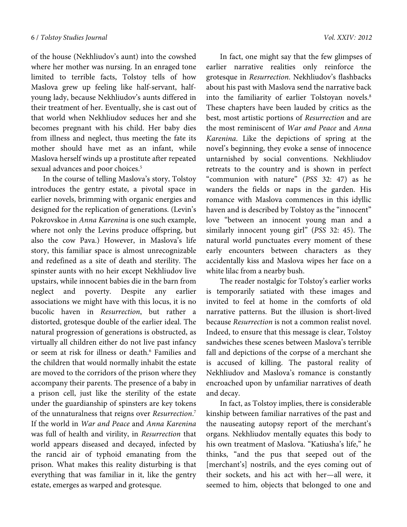of the house (Nekhliudov's aunt) into the cowshed where her mother was nursing. In an enraged tone limited to terrible facts, Tolstoy tells of how Maslova grew up feeling like half-servant, halfyoung lady, because Nekhliudov's aunts differed in their treatment of her. Eventually, she is cast out of that world when Nekhliudov seduces her and she becomes pregnant with his child. Her baby dies from illness and neglect, thus meeting the fate its mother should have met as an infant, while Maslova herself winds up a prostitute after repeated sexual advances and poor choices.<sup>5</sup>

In the course of telling Maslova's story, Tolstoy introduces the gentry estate, a pivotal space in earlier novels, brimming with organic energies and designed for the replication of generations. (Levin's Pokrovskoe in *Anna Karenina* is one such example, where not only the Levins produce offspring, but also the cow Pava.) However, in Maslova's life story, this familiar space is almost unrecognizable and redefined as a site of death and sterility. The spinster aunts with no heir except Nekhliudov live upstairs, while innocent babies die in the barn from neglect and poverty. Despite any earlier associations we might have with this locus, it is no bucolic haven in *Resurrection*, but rather a distorted, grotesque double of the earlier ideal. The natural progression of generations is obstructed, as virtually all children either do not live past infancy or seem at risk for illness or death.<sup>6</sup> Families and the children that would normally inhabit the estate are moved to the corridors of the prison where they accompany their parents. The presence of a baby in a prison cell, just like the sterility of the estate under the guardianship of spinsters are key tokens of the unnaturalness that reigns over *Resurrection*. 7 If the world in *War and Peace* and *Anna Karenina* was full of health and virility, in *Resurrection* that world appears diseased and decayed, infected by the rancid air of typhoid emanating from the prison. What makes this reality disturbing is that everything that was familiar in it, like the gentry estate, emerges as warped and grotesque.

 In fact, one might say that the few glimpses of earlier narrative realities only reinforce the grotesque in *Resurrection*. Nekhliudov's flashbacks about his past with Maslova send the narrative back into the familiarity of earlier Tolstoyan novels.<sup>8</sup> These chapters have been lauded by critics as the best, most artistic portions of *Resurrection* and are the most reminiscent of *War and Peace* and *Anna Karenina*. Like the depictions of spring at the novel's beginning, they evoke a sense of innocence untarnished by social conventions. Nekhliudov retreats to the country and is shown in perfect "communion with nature" (*PSS* 32: 47) as he wanders the fields or naps in the garden. His romance with Maslova commences in this idyllic haven and is described by Tolstoy as the "innocent" love "between an innocent young man and a similarly innocent young girl" (*PSS* 32: 45). The natural world punctuates every moment of these early encounters between characters as they accidentally kiss and Maslova wipes her face on a white lilac from a nearby bush.

 The reader nostalgic for Tolstoy's earlier works is temporarily satiated with these images and invited to feel at home in the comforts of old narrative patterns. But the illusion is short-lived because *Resurrection* is not a common realist novel. Indeed, to ensure that this message is clear, Tolstoy sandwiches these scenes between Maslova's terrible fall and depictions of the corpse of a merchant she is accused of killing. The pastoral reality of Nekhliudov and Maslova's romance is constantly encroached upon by unfamiliar narratives of death and decay.

 In fact, as Tolstoy implies, there is considerable kinship between familiar narratives of the past and the nauseating autopsy report of the merchant's organs. Nekhliudov mentally equates this body to his own treatment of Maslova. "Katiusha's life," he thinks, "and the pus that seeped out of the [merchant's] nostrils, and the eyes coming out of their sockets, and his act with her—all were, it seemed to him, objects that belonged to one and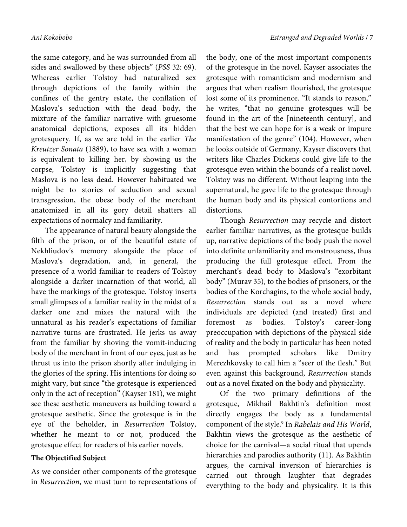the same category, and he was surrounded from all sides and swallowed by these objects" (*PSS* 32: 69). Whereas earlier Tolstoy had naturalized sex through depictions of the family within the confines of the gentry estate, the conflation of Maslova's seduction with the dead body, the mixture of the familiar narrative with gruesome anatomical depictions, exposes all its hidden grotesquery. If, as we are told in the earlier *The Kreutzer Sonata* (1889), to have sex with a woman is equivalent to killing her, by showing us the corpse, Tolstoy is implicitly suggesting that Maslova is no less dead. However habituated we might be to stories of seduction and sexual transgression, the obese body of the merchant anatomized in all its gory detail shatters all expectations of normalcy and familiarity.

 The appearance of natural beauty alongside the filth of the prison, or of the beautiful estate of Nekhliudov's memory alongside the place of Maslova's degradation, and, in general, the presence of a world familiar to readers of Tolstoy alongside a darker incarnation of that world, all have the markings of the grotesque. Tolstoy inserts small glimpses of a familiar reality in the midst of a darker one and mixes the natural with the unnatural as his reader's expectations of familiar narrative turns are frustrated. He jerks us away from the familiar by shoving the vomit-inducing body of the merchant in front of our eyes, just as he thrust us into the prison shortly after indulging in the glories of the spring. His intentions for doing so might vary, but since "the grotesque is experienced only in the act of reception" (Kayser 181), we might see these aesthetic maneuvers as building toward a grotesque aesthetic. Since the grotesque is in the eye of the beholder, in *Resurrection* Tolstoy, whether he meant to or not, produced the grotesque effect for readers of his earlier novels.

#### **The Objectified Subject**

As we consider other components of the grotesque in *Resurrection*, we must turn to representations of the body, one of the most important components of the grotesque in the novel. Kayser associates the grotesque with romanticism and modernism and argues that when realism flourished, the grotesque lost some of its prominence. "It stands to reason," he writes, "that no genuine grotesques will be found in the art of the [nineteenth century], and that the best we can hope for is a weak or impure manifestation of the genre" (104). However, when he looks outside of Germany, Kayser discovers that writers like Charles Dickens could give life to the grotesque even within the bounds of a realist novel. Tolstoy was no different. Without leaping into the supernatural, he gave life to the grotesque through the human body and its physical contortions and distortions.

 Though *Resurrection* may recycle and distort earlier familiar narratives, as the grotesque builds up, narrative depictions of the body push the novel into definite unfamiliarity and monstrousness, thus producing the full grotesque effect. From the merchant's dead body to Maslova's "exorbitant body" (Murav 35), to the bodies of prisoners, or the bodies of the Korchagins, to the whole social body, *Resurrection* stands out as a novel where individuals are depicted (and treated) first and foremost as bodies. Tolstoy's career-long preoccupation with depictions of the physical side of reality and the body in particular has been noted and has prompted scholars like Dmitry Merezhkovsky to call him a "seer of the flesh." But even against this background, *Resurrection* stands out as a novel fixated on the body and physicality.

 Of the two primary definitions of the grotesque, Mikhail Bakhtin's definition most directly engages the body as a fundamental component of the style.9 In *Rabelais and His World*, Bakhtin views the grotesque as the aesthetic of choice for the carnival—a social ritual that upends hierarchies and parodies authority (11). As Bakhtin argues, the carnival inversion of hierarchies is carried out through laughter that degrades everything to the body and physicality. It is this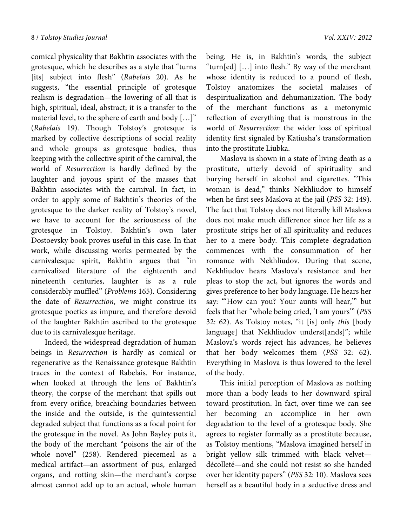comical physicality that Bakhtin associates with the grotesque, which he describes as a style that "turns [its] subject into flesh" (*Rabelais* 20). As he suggests, "the essential principle of grotesque realism is degradation—the lowering of all that is high, spiritual, ideal, abstract; it is a transfer to the material level, to the sphere of earth and body […]" (*Rabelais* 19). Though Tolstoy's grotesque is marked by collective descriptions of social reality and whole groups as grotesque bodies, thus keeping with the collective spirit of the carnival, the world of *Resurrection* is hardly defined by the laughter and joyous spirit of the masses that Bakhtin associates with the carnival. In fact, in order to apply some of Bakhtin's theories of the grotesque to the darker reality of Tolstoy's novel, we have to account for the seriousness of the grotesque in Tolstoy. Bakhtin's own later Dostoevsky book proves useful in this case. In that work, while discussing works permeated by the carnivalesque spirit, Bakhtin argues that "in carnivalized literature of the eighteenth and nineteenth centuries, laughter is as a rule considerably muffled" (*Problems* 165). Considering the date of *Resurrection*, we might construe its grotesque poetics as impure, and therefore devoid of the laughter Bakhtin ascribed to the grotesque due to its carnivalesque heritage.

 Indeed, the widespread degradation of human beings in *Resurrection* is hardly as comical or regenerative as the Renaissance grotesque Bakhtin traces in the context of Rabelais. For instance, when looked at through the lens of Bakhtin's theory, the corpse of the merchant that spills out from every orifice, breaching boundaries between the inside and the outside, is the quintessential degraded subject that functions as a focal point for the grotesque in the novel. As John Bayley puts it, the body of the merchant "poisons the air of the whole novel" (258). Rendered piecemeal as a medical artifact—an assortment of pus, enlarged organs, and rotting skin—the merchant's corpse almost cannot add up to an actual, whole human

being. He is, in Bakhtin's words, the subject "turn[ed] […] into flesh." By way of the merchant whose identity is reduced to a pound of flesh, Tolstoy anatomizes the societal malaises of despiritualization and dehumanization. The body of the merchant functions as a metonymic reflection of everything that is monstrous in the world of *Resurrection*: the wider loss of spiritual identity first signaled by Katiusha's transformation into the prostitute Liubka.

 Maslova is shown in a state of living death as a prostitute, utterly devoid of spirituality and burying herself in alcohol and cigarettes. "This woman is dead," thinks Nekhliudov to himself when he first sees Maslova at the jail (*PSS* 32: 149). The fact that Tolstoy does not literally kill Maslova does not make much difference since her life as a prostitute strips her of all spirituality and reduces her to a mere body. This complete degradation commences with the consummation of her romance with Nekhliudov. During that scene, Nekhliudov hears Maslova's resistance and her pleas to stop the act, but ignores the words and gives preference to her body language. He hears her say: "'How can you? Your aunts will hear,'" but feels that her "whole being cried, 'I am yours'" (*PSS* 32: 62). As Tolstoy notes, "it [is] only *this* [body language] that Nekhliudov underst[ands]"; while Maslova's words reject his advances, he believes that her body welcomes them (*PSS* 32: 62). Everything in Maslova is thus lowered to the level of the body.

 This initial perception of Maslova as nothing more than a body leads to her downward spiral toward prostitution. In fact, over time we can see her becoming an accomplice in her own degradation to the level of a grotesque body. She agrees to register formally as a prostitute because, as Tolstoy mentions, "Maslova imagined herself in bright yellow silk trimmed with black velvet décolleté—and she could not resist so she handed over her identity papers" (*PSS* 32: 10). Maslova sees herself as a beautiful body in a seductive dress and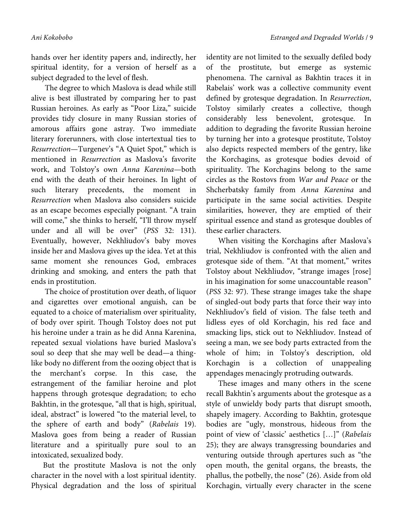hands over her identity papers and, indirectly, her spiritual identity, for a version of herself as a subject degraded to the level of flesh.

 The degree to which Maslova is dead while still alive is best illustrated by comparing her to past Russian heroines. As early as "Poor Liza," suicide provides tidy closure in many Russian stories of amorous affairs gone astray. Two immediate literary forerunners, with close intertextual ties to *Resurrection*—Turgenev's "A Quiet Spot," which is mentioned in *Resurrection* as Maslova's favorite work, and Tolstoy's own *Anna Karenina*—both end with the death of their heroines. In light of such literary precedents, the moment in *Resurrection* when Maslova also considers suicide as an escape becomes especially poignant. "A train will come," she thinks to herself, "I'll throw myself under and all will be over" (*PSS* 32: 131). Eventually, however, Nekhliudov's baby moves inside her and Maslova gives up the idea. Yet at this same moment she renounces God, embraces drinking and smoking, and enters the path that ends in prostitution.

 The choice of prostitution over death, of liquor and cigarettes over emotional anguish, can be equated to a choice of materialism over spirituality, of body over spirit. Though Tolstoy does not put his heroine under a train as he did Anna Karenina, repeated sexual violations have buried Maslova's soul so deep that she may well be dead—a thinglike body no different from the oozing object that is the merchant's corpse. In this case, the estrangement of the familiar heroine and plot happens through grotesque degradation; to echo Bakhtin, in the grotesque, "all that is high, spiritual, ideal, abstract" is lowered "to the material level, to the sphere of earth and body" (*Rabelais* 19). Maslova goes from being a reader of Russian literature and a spiritually pure soul to an intoxicated, sexualized body.

But the prostitute Maslova is not the only character in the novel with a lost spiritual identity. Physical degradation and the loss of spiritual

identity are not limited to the sexually defiled body of the prostitute, but emerge as systemic phenomena. The carnival as Bakhtin traces it in Rabelais' work was a collective community event defined by grotesque degradation. In *Resurrection*, Tolstoy similarly creates a collective, though considerably less benevolent, grotesque. In addition to degrading the favorite Russian heroine by turning her into a grotesque prostitute, Tolstoy also depicts respected members of the gentry, like the Korchagins, as grotesque bodies devoid of spirituality. The Korchagins belong to the same circles as the Rostovs from *War and Peace* or the Shcherbatsky family from *Anna Karenina* and participate in the same social activities. Despite similarities, however, they are emptied of their spiritual essence and stand as grotesque doubles of these earlier characters.

When visiting the Korchagins after Maslova's trial, Nekhliudov is confronted with the alien and grotesque side of them. "At that moment," writes Tolstoy about Nekhliudov, "strange images [rose] in his imagination for some unaccountable reason" (*PSS* 32: 97). These strange images take the shape of singled-out body parts that force their way into Nekhliudov's field of vision. The false teeth and lidless eyes of old Korchagin, his red face and smacking lips, stick out to Nekhliudov. Instead of seeing a man, we see body parts extracted from the whole of him; in Tolstoy's description, old Korchagin is a collection of unappealing appendages menacingly protruding outwards.

These images and many others in the scene recall Bakhtin's arguments about the grotesque as a style of unwieldy body parts that disrupt smooth, shapely imagery. According to Bakhtin, grotesque bodies are "ugly, monstrous, hideous from the point of view of 'classic' aesthetics […]" (*Rabelais* 25); they are always transgressing boundaries and venturing outside through apertures such as "the open mouth, the genital organs, the breasts, the phallus, the potbelly, the nose" (26). Aside from old Korchagin, virtually every character in the scene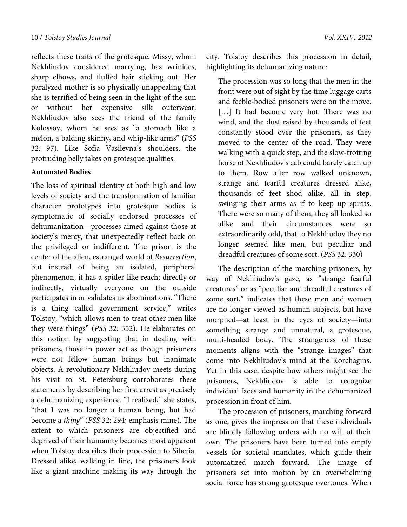reflects these traits of the grotesque. Missy, whom Nekhliudov considered marrying, has wrinkles, sharp elbows, and fluffed hair sticking out. Her paralyzed mother is so physically unappealing that she is terrified of being seen in the light of the sun or without her expensive silk outerwear. Nekhliudov also sees the friend of the family Kolossov, whom he sees as "a stomach like a melon, a balding skinny, and whip-like arms" (*PSS* 32: 97). Like Sofia Vasilevna's shoulders, the protruding belly takes on grotesque qualities.

#### **Automated Bodies**

The loss of spiritual identity at both high and low levels of society and the transformation of familiar character prototypes into grotesque bodies is symptomatic of socially endorsed processes of dehumanization—processes aimed against those at society's mercy, that unexpectedly reflect back on the privileged or indifferent. The prison is the center of the alien, estranged world of *Resurrection*, but instead of being an isolated, peripheral phenomenon, it has a spider-like reach; directly or indirectly, virtually everyone on the outside participates in or validates its abominations. "There is a thing called government service," writes Tolstoy, "which allows men to treat other men like they were things" (*PSS* 32: 352). He elaborates on this notion by suggesting that in dealing with prisoners, those in power act as though prisoners were not fellow human beings but inanimate objects. A revolutionary Nekhliudov meets during his visit to St. Petersburg corroborates these statements by describing her first arrest as precisely a dehumanizing experience. "I realized," she states, "that I was no longer a human being, but had become a *thing*" (*PSS* 32: 294; emphasis mine). The extent to which prisoners are objectified and deprived of their humanity becomes most apparent when Tolstoy describes their procession to Siberia. Dressed alike, walking in line, the prisoners look like a giant machine making its way through the city. Tolstoy describes this procession in detail, highlighting its dehumanizing nature:

The procession was so long that the men in the front were out of sight by the time luggage carts and feeble-bodied prisoners were on the move. [...] It had become very hot. There was no wind, and the dust raised by thousands of feet constantly stood over the prisoners, as they moved to the center of the road. They were walking with a quick step, and the slow-trotting horse of Nekhliudov's cab could barely catch up to them. Row after row walked unknown, strange and fearful creatures dressed alike, thousands of feet shod alike, all in step, swinging their arms as if to keep up spirits. There were so many of them, they all looked so alike and their circumstances were so extraordinarily odd, that to Nekhliudov they no longer seemed like men, but peculiar and dreadful creatures of some sort. (*PSS* 32: 330)

The description of the marching prisoners, by way of Nekhliudov's gaze, as "strange fearful creatures" or as "peculiar and dreadful creatures of some sort," indicates that these men and women are no longer viewed as human subjects, but have morphed—at least in the eyes of society—into something strange and unnatural, a grotesque, multi-headed body. The strangeness of these moments aligns with the "strange images" that come into Nekhliudov's mind at the Korchagins. Yet in this case, despite how others might see the prisoners, Nekhliudov is able to recognize individual faces and humanity in the dehumanized procession in front of him.

The procession of prisoners, marching forward as one, gives the impression that these individuals are blindly following orders with no will of their own. The prisoners have been turned into empty vessels for societal mandates, which guide their automatized march forward. The image of prisoners set into motion by an overwhelming social force has strong grotesque overtones. When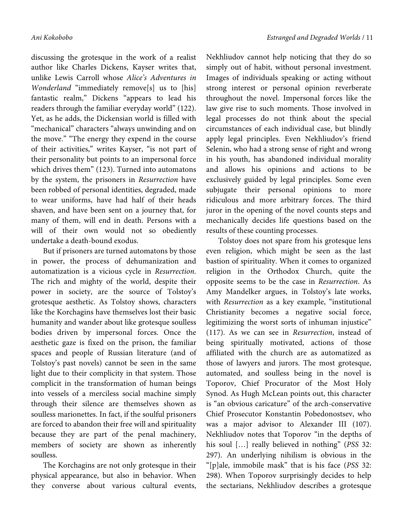discussing the grotesque in the work of a realist author like Charles Dickens, Kayser writes that, unlike Lewis Carroll whose *Alice's Adventures in Wonderland* "immediately remove[s] us to [his] fantastic realm," Dickens "appears to lead his readers through the familiar everyday world" (122). Yet, as he adds, the Dickensian world is filled with "mechanical" characters "always unwinding and on the move." "The energy they expend in the course of their activities," writes Kayser, "is not part of their personality but points to an impersonal force which drives them" (123). Turned into automatons by the system, the prisoners in *Resurrection* have been robbed of personal identities, degraded, made to wear uniforms, have had half of their heads shaven, and have been sent on a journey that, for many of them, will end in death. Persons with a will of their own would not so obediently undertake a death-bound exodus.

But if prisoners are turned automatons by those in power, the process of dehumanization and automatization is a vicious cycle in *Resurrection*. The rich and mighty of the world, despite their power in society, are the source of Tolstoy's grotesque aesthetic. As Tolstoy shows, characters like the Korchagins have themselves lost their basic humanity and wander about like grotesque soulless bodies driven by impersonal forces. Once the aesthetic gaze is fixed on the prison, the familiar spaces and people of Russian literature (and of Tolstoy's past novels) cannot be seen in the same light due to their complicity in that system. Those complicit in the transformation of human beings into vessels of a merciless social machine simply through their silence are themselves shown as soulless marionettes. In fact, if the soulful prisoners are forced to abandon their free will and spirituality because they are part of the penal machinery, members of society are shown as inherently soulless.

The Korchagins are not only grotesque in their physical appearance, but also in behavior. When they converse about various cultural events, Nekhliudov cannot help noticing that they do so simply out of habit, without personal investment. Images of individuals speaking or acting without strong interest or personal opinion reverberate throughout the novel. Impersonal forces like the law give rise to such moments. Those involved in legal processes do not think about the special circumstances of each individual case, but blindly apply legal principles. Even Nekhliudov's friend Selenin, who had a strong sense of right and wrong in his youth, has abandoned individual morality and allows his opinions and actions to be exclusively guided by legal principles. Some even subjugate their personal opinions to more ridiculous and more arbitrary forces. The third juror in the opening of the novel counts steps and mechanically decides life questions based on the results of these counting processes.

Tolstoy does not spare from his grotesque lens even religion, which might be seen as the last bastion of spirituality. When it comes to organized religion in the Orthodox Church, quite the opposite seems to be the case in *Resurrection*. As Amy Mandelker argues, in Tolstoy's late works, with *Resurrection* as a key example, "institutional Christianity becomes a negative social force, legitimizing the worst sorts of inhuman injustice" (117). As we can see in *Resurrection*, instead of being spiritually motivated, actions of those affiliated with the church are as automatized as those of lawyers and jurors. The most grotesque, automated, and soulless being in the novel is Toporov, Chief Procurator of the Most Holy Synod. As Hugh McLean points out, this character is "an obvious caricature" of the arch-conservative Chief Prosecutor Konstantin Pobedonostsev, who was a major advisor to Alexander III (107). Nekhliudov notes that Toporov "in the depths of his soul […] really believed in nothing" (*PSS* 32: 297). An underlying nihilism is obvious in the "[p]ale, immobile mask" that is his face (*PSS* 32: 298). When Toporov surprisingly decides to help the sectarians, Nekhliudov describes a grotesque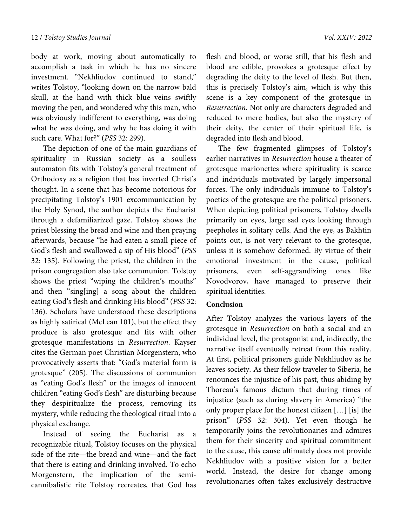body at work, moving about automatically to accomplish a task in which he has no sincere investment. "Nekhliudov continued to stand," writes Tolstoy, "looking down on the narrow bald skull, at the hand with thick blue veins swiftly moving the pen, and wondered why this man, who was obviously indifferent to everything, was doing what he was doing, and why he has doing it with such care. What for?" (*PSS* 32: 299).

The depiction of one of the main guardians of spirituality in Russian society as a soulless automaton fits with Tolstoy's general treatment of Orthodoxy as a religion that has inverted Christ's thought. In a scene that has become notorious for precipitating Tolstoy's 1901 excommunication by the Holy Synod, the author depicts the Eucharist through a defamiliarized gaze. Tolstoy shows the priest blessing the bread and wine and then praying afterwards, because "he had eaten a small piece of God's flesh and swallowed a sip of His blood" (*PSS* 32: 135). Following the priest, the children in the prison congregation also take communion. Tolstoy shows the priest "wiping the children's mouths" and then "sing[ing] a song about the children eating God's flesh and drinking His blood" (*PSS* 32: 136). Scholars have understood these descriptions as highly satirical (McLean 101), but the effect they produce is also grotesque and fits with other grotesque manifestations in *Resurrection*. Kayser cites the German poet Christian Morgenstern, who provocatively asserts that: "God's material form is grotesque" (205). The discussions of communion as "eating God's flesh" or the images of innocent children "eating God's flesh" are disturbing because they despiritualize the process, removing its mystery, while reducing the theological ritual into a physical exchange.

Instead of seeing the Eucharist as a recognizable ritual, Tolstoy focuses on the physical side of the rite—the bread and wine—and the fact that there is eating and drinking involved. To echo Morgenstern, the implication of the semicannibalistic rite Tolstoy recreates, that God has flesh and blood, or worse still, that his flesh and blood are edible, provokes a grotesque effect by degrading the deity to the level of flesh. But then, this is precisely Tolstoy's aim, which is why this scene is a key component of the grotesque in *Resurrection*. Not only are characters degraded and reduced to mere bodies, but also the mystery of their deity, the center of their spiritual life, is degraded into flesh and blood.

The few fragmented glimpses of Tolstoy's earlier narratives in *Resurrection* house a theater of grotesque marionettes where spirituality is scarce and individuals motivated by largely impersonal forces. The only individuals immune to Tolstoy's poetics of the grotesque are the political prisoners. When depicting political prisoners, Tolstoy dwells primarily on eyes, large sad eyes looking through peepholes in solitary cells. And the eye, as Bakhtin points out, is not very relevant to the grotesque, unless it is somehow deformed. By virtue of their emotional investment in the cause, political prisoners, even self-aggrandizing ones like Novodvorov, have managed to preserve their spiritual identities.

#### **Conclusion**

After Tolstoy analyzes the various layers of the grotesque in *Resurrection* on both a social and an individual level, the protagonist and, indirectly, the narrative itself eventually retreat from this reality. At first, political prisoners guide Nekhliudov as he leaves society. As their fellow traveler to Siberia, he renounces the injustice of his past, thus abiding by Thoreau's famous dictum that during times of injustice (such as during slavery in America) "the only proper place for the honest citizen […] [is] the prison" (*PSS* 32: 304). Yet even though he temporarily joins the revolutionaries and admires them for their sincerity and spiritual commitment to the cause, this cause ultimately does not provide Nekhliudov with a positive vision for a better world. Instead, the desire for change among revolutionaries often takes exclusively destructive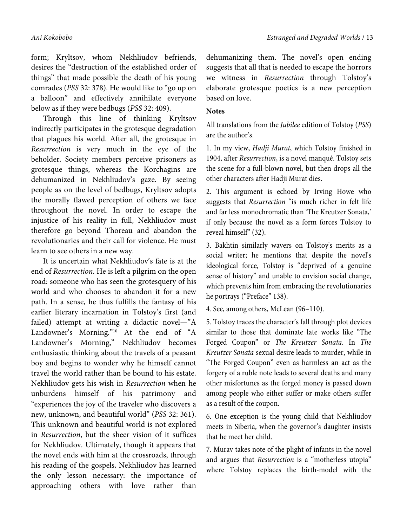form; Kryltsov, whom Nekhliudov befriends, desires the "destruction of the established order of things" that made possible the death of his young comrades (*PSS* 32: 378). He would like to "go up on a balloon" and effectively annihilate everyone below as if they were bedbugs (*PSS* 32: 409).

Through this line of thinking Kryltsov indirectly participates in the grotesque degradation that plagues his world. After all, the grotesque in *Resurrection* is very much in the eye of the beholder. Society members perceive prisoners as grotesque things, whereas the Korchagins are dehumanized in Nekhliudov's gaze. By seeing people as on the level of bedbugs, Kryltsov adopts the morally flawed perception of others we face throughout the novel. In order to escape the injustice of his reality in full, Nekhliudov must therefore go beyond Thoreau and abandon the revolutionaries and their call for violence. He must learn to see others in a new way.

It is uncertain what Nekhliudov's fate is at the end of *Resurrection*. He is left a pilgrim on the open road: someone who has seen the grotesquery of his world and who chooses to abandon it for a new path. In a sense, he thus fulfills the fantasy of his earlier literary incarnation in Tolstoy's first (and failed) attempt at writing a didactic novel—"A Landowner's Morning."10 At the end of "A Landowner's Morning," Nekhliudov becomes enthusiastic thinking about the travels of a peasant boy and begins to wonder why he himself cannot travel the world rather than be bound to his estate. Nekhliudov gets his wish in *Resurrection* when he unburdens himself of his patrimony and "experiences the joy of the traveler who discovers a new, unknown, and beautiful world" (*PSS* 32: 361). This unknown and beautiful world is not explored in *Resurrection*, but the sheer vision of it suffices for Nekhliudov. Ultimately, though it appears that the novel ends with him at the crossroads, through his reading of the gospels, Nekhliudov has learned the only lesson necessary: the importance of approaching others with love rather than

dehumanizing them. The novel's open ending suggests that all that is needed to escape the horrors we witness in *Resurrection* through Tolstoy's elaborate grotesque poetics is a new perception based on love.

#### **Notes**

All translations from the *Jubilee* edition of Tolstoy (*PSS*) are the author's.

1. In my view, *Hadji Murat*, which Tolstoy finished in 1904, after *Resurrection*, is a novel manqué. Tolstoy sets the scene for a full-blown novel, but then drops all the other characters after Hadji Murat dies.

2. This argument is echoed by Irving Howe who suggests that *Resurrection* "is much richer in felt life and far less monochromatic than 'The Kreutzer Sonata,' if only because the novel as a form forces Tolstoy to reveal himself" (32).

3. Bakhtin similarly wavers on Tolstoy's merits as a social writer; he mentions that despite the novel's ideological force, Tolstoy is "deprived of a genuine sense of history" and unable to envision social change, which prevents him from embracing the revolutionaries he portrays ("Preface" 138).

4. See, among others, McLean (96–110).

5. Tolstoy traces the character's fall through plot devices similar to those that dominate late works like "The Forged Coupon" or *The Kreutzer Sonata*. In *The Kreutzer Sonata* sexual desire leads to murder, while in "The Forged Coupon" even as harmless an act as the forgery of a ruble note leads to several deaths and many other misfortunes as the forged money is passed down among people who either suffer or make others suffer as a result of the coupon.

6. One exception is the young child that Nekhliudov meets in Siberia, when the governor's daughter insists that he meet her child.

7. Murav takes note of the plight of infants in the novel and argues that *Resurrection* is a "motherless utopia" where Tolstoy replaces the birth-model with the